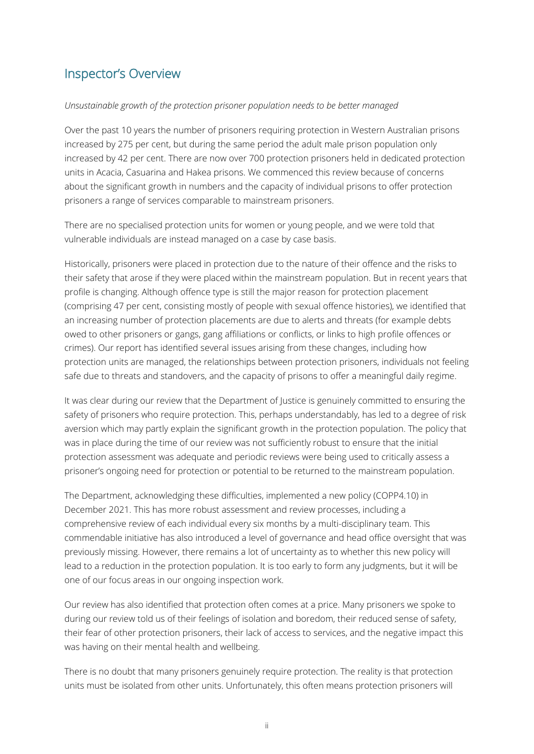## Inspector's Overview

## *Unsustainable growth of the protection prisoner population needs to be better managed*

Over the past 10 years the number of prisoners requiring protection in Western Australian prisons increased by 275 per cent, but during the same period the adult male prison population only increased by 42 per cent. There are now over 700 protection prisoners held in dedicated protection units in Acacia, Casuarina and Hakea prisons. We commenced this review because of concerns about the significant growth in numbers and the capacity of individual prisons to offer protection prisoners a range of services comparable to mainstream prisoners.

There are no specialised protection units for women or young people, and we were told that vulnerable individuals are instead managed on a case by case basis.

Historically, prisoners were placed in protection due to the nature of their offence and the risks to their safety that arose if they were placed within the mainstream population. But in recent years that profile is changing. Although offence type is still the major reason for protection placement (comprising 47 per cent, consisting mostly of people with sexual offence histories), we identified that an increasing number of protection placements are due to alerts and threats (for example debts owed to other prisoners or gangs, gang affiliations or conflicts, or links to high profile offences or crimes). Our report has identified several issues arising from these changes, including how protection units are managed, the relationships between protection prisoners, individuals not feeling safe due to threats and standovers, and the capacity of prisons to offer a meaningful daily regime.

It was clear during our review that the Department of Justice is genuinely committed to ensuring the safety of prisoners who require protection. This, perhaps understandably, has led to a degree of risk aversion which may partly explain the significant growth in the protection population. The policy that was in place during the time of our review was not sufficiently robust to ensure that the initial protection assessment was adequate and periodic reviews were being used to critically assess a prisoner's ongoing need for protection or potential to be returned to the mainstream population.

The Department, acknowledging these difficulties, implemented a new policy (COPP4.10) in December 2021. This has more robust assessment and review processes, including a comprehensive review of each individual every six months by a multi-disciplinary team. This commendable initiative has also introduced a level of governance and head office oversight that was previously missing. However, there remains a lot of uncertainty as to whether this new policy will lead to a reduction in the protection population. It is too early to form any judgments, but it will be one of our focus areas in our ongoing inspection work.

Our review has also identified that protection often comes at a price. Many prisoners we spoke to during our review told us of their feelings of isolation and boredom, their reduced sense of safety, their fear of other protection prisoners, their lack of access to services, and the negative impact this was having on their mental health and wellbeing.

There is no doubt that many prisoners genuinely require protection. The reality is that protection units must be isolated from other units. Unfortunately, this often means protection prisoners will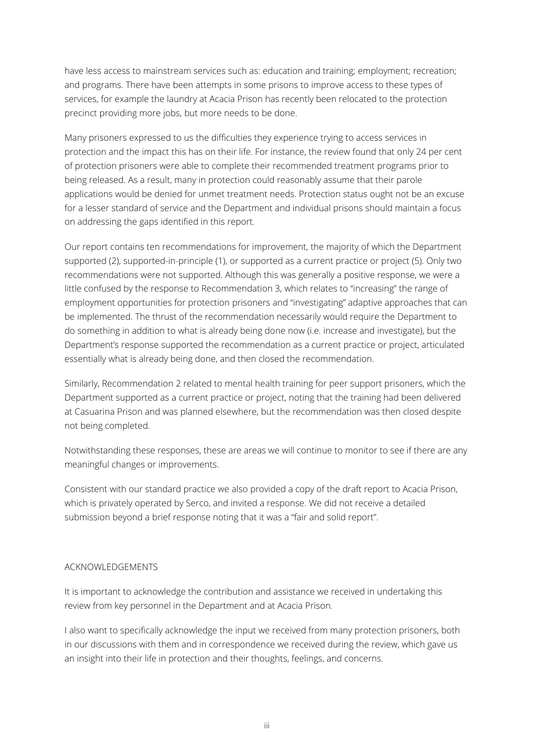have less access to mainstream services such as: education and training; employment; recreation; and programs. There have been attempts in some prisons to improve access to these types of services, for example the laundry at Acacia Prison has recently been relocated to the protection precinct providing more jobs, but more needs to be done.

Many prisoners expressed to us the difficulties they experience trying to access services in protection and the impact this has on their life. For instance, the review found that only 24 per cent of protection prisoners were able to complete their recommended treatment programs prior to being released. As a result, many in protection could reasonably assume that their parole applications would be denied for unmet treatment needs. Protection status ought not be an excuse for a lesser standard of service and the Department and individual prisons should maintain a focus on addressing the gaps identified in this report.

Our report contains ten recommendations for improvement, the majority of which the Department supported (2), supported-in-principle (1), or supported as a current practice or project (5). Only two recommendations were not supported. Although this was generally a positive response, we were a little confused by the response to Recommendation 3, which relates to "increasing" the range of employment opportunities for protection prisoners and "investigating" adaptive approaches that can be implemented. The thrust of the recommendation necessarily would require the Department to do something in addition to what is already being done now (i.e. increase and investigate), but the Department's response supported the recommendation as a current practice or project, articulated essentially what is already being done, and then closed the recommendation.

Similarly, Recommendation 2 related to mental health training for peer support prisoners, which the Department supported as a current practice or project, noting that the training had been delivered at Casuarina Prison and was planned elsewhere, but the recommendation was then closed despite not being completed.

Notwithstanding these responses, these are areas we will continue to monitor to see if there are any meaningful changes or improvements.

Consistent with our standard practice we also provided a copy of the draft report to Acacia Prison, which is privately operated by Serco, and invited a response. We did not receive a detailed submission beyond a brief response noting that it was a "fair and solid report".

## ACKNOWLEDGEMENTS

It is important to acknowledge the contribution and assistance we received in undertaking this review from key personnel in the Department and at Acacia Prison.

I also want to specifically acknowledge the input we received from many protection prisoners, both in our discussions with them and in correspondence we received during the review, which gave us an insight into their life in protection and their thoughts, feelings, and concerns.